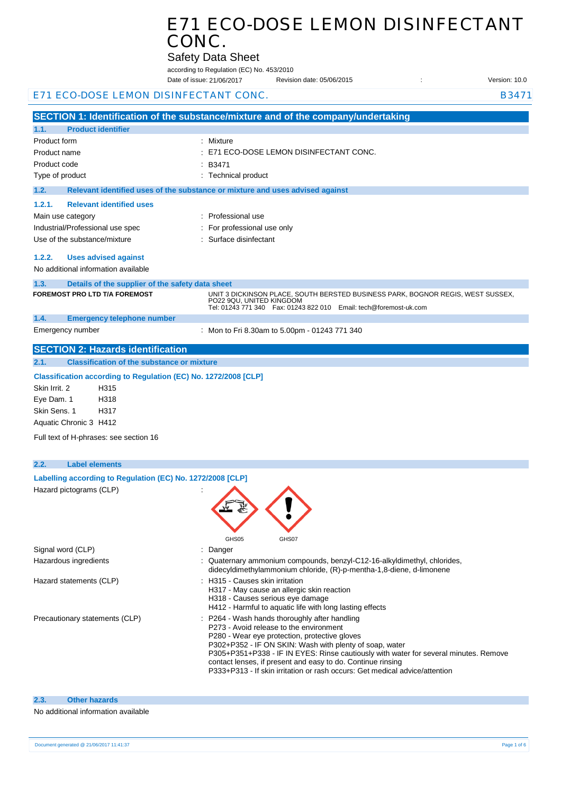|                                                                 | E71 ECO-DOSE LEMON DISINFECTANT                                                                     |  |
|-----------------------------------------------------------------|-----------------------------------------------------------------------------------------------------|--|
| CONC.                                                           |                                                                                                     |  |
|                                                                 |                                                                                                     |  |
|                                                                 | <b>Safety Data Sheet</b><br>according to Regulation (EC) No. 453/2010                               |  |
|                                                                 | Date of issue: 21/06/2017<br>Revision date: 05/06/2015<br>Version: 10.0                             |  |
| E71 ECO-DOSE LEMON DISINFECTANT CONC.                           | B3471                                                                                               |  |
|                                                                 | SECTION 1: Identification of the substance/mixture and of the company/undertaking                   |  |
| <b>Product identifier</b><br>1.1.                               |                                                                                                     |  |
| Product form                                                    | : Mixture                                                                                           |  |
| Product name                                                    | E71 ECO-DOSE LEMON DISINFECTANT CONC.                                                               |  |
| Product code                                                    | B3471                                                                                               |  |
| Type of product                                                 | <b>Technical product</b>                                                                            |  |
| 1.2.                                                            | Relevant identified uses of the substance or mixture and uses advised against                       |  |
| <b>Relevant identified uses</b><br>1.2.1.                       |                                                                                                     |  |
| Main use category                                               | : Professional use                                                                                  |  |
| Industrial/Professional use spec                                | For professional use only                                                                           |  |
| Use of the substance/mixture                                    | Surface disinfectant                                                                                |  |
| 1.2.2.<br><b>Uses advised against</b>                           |                                                                                                     |  |
| No additional information available                             |                                                                                                     |  |
| Details of the supplier of the safety data sheet<br>1.3.        |                                                                                                     |  |
| <b>FOREMOST PRO LTD T/A FOREMOST</b>                            | UNIT 3 DICKINSON PLACE, SOUTH BERSTED BUSINESS PARK, BOGNOR REGIS, WEST SUSSEX,                     |  |
|                                                                 | PO22 9QU, UNITED KINGDOM<br>Tel: 01243 771 340    Fax: 01243 822 010    Email: tech@foremost-uk.com |  |
| 1.4.<br><b>Emergency telephone number</b>                       |                                                                                                     |  |
| Emergency number                                                | : Mon to Fri 8.30am to 5.00pm - 01243 771 340                                                       |  |
| <b>SECTION 2: Hazards identification</b>                        |                                                                                                     |  |
| <b>Classification of the substance or mixture</b><br>2.1.       |                                                                                                     |  |
| Classification according to Regulation (EC) No. 1272/2008 [CLP] |                                                                                                     |  |
| Skin Irrit. 2<br>H315                                           |                                                                                                     |  |
| Eye Dam. 1<br>H318                                              |                                                                                                     |  |
| Skin Sens, 1<br>H317                                            |                                                                                                     |  |
| Aquatic Chronic 3 H412                                          |                                                                                                     |  |
| Full text of H-phrases: see section 16                          |                                                                                                     |  |
| 2.2.<br><b>Label elements</b>                                   |                                                                                                     |  |
| Labelling according to Regulation (EC) No. 1272/2008 [CLP]      |                                                                                                     |  |
| Hazard pictograms (CLP)                                         |                                                                                                     |  |

|                                | GHS05<br>GHS07                                                                                                                                                                                                                                                                                                                                                                                                                             |
|--------------------------------|--------------------------------------------------------------------------------------------------------------------------------------------------------------------------------------------------------------------------------------------------------------------------------------------------------------------------------------------------------------------------------------------------------------------------------------------|
| Signal word (CLP)              | : Danger                                                                                                                                                                                                                                                                                                                                                                                                                                   |
| Hazardous ingredients          | : Quaternary ammonium compounds, benzyl-C12-16-alkyldimethyl, chlorides,<br>didecyldimethylammonium chloride, (R)-p-mentha-1,8-diene, d-limonene                                                                                                                                                                                                                                                                                           |
| Hazard statements (CLP)        | : H315 - Causes skin irritation<br>H317 - May cause an allergic skin reaction<br>H318 - Causes serious eye damage<br>H412 - Harmful to aquatic life with long lasting effects                                                                                                                                                                                                                                                              |
| Precautionary statements (CLP) | : P264 - Wash hands thoroughly after handling<br>P273 - Avoid release to the environment<br>P280 - Wear eye protection, protective gloves<br>P302+P352 - IF ON SKIN: Wash with plenty of soap, water<br>P305+P351+P338 - IF IN EYES: Rinse cautiously with water for several minutes. Remove<br>contact lenses, if present and easy to do. Continue rinsing<br>P333+P313 - If skin irritation or rash occurs: Get medical advice/attention |

#### No additional information available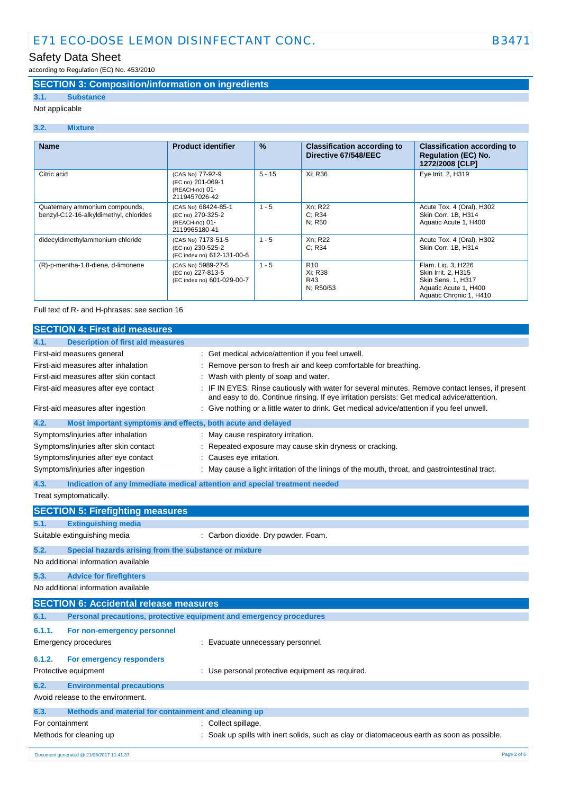# Safety Data Sheet

according to Regulation (EC) No. 453/2010

### **SECTION 3: Composition/information on ingredients**

## **3.1. Substance**

Not applicable

### **3.2. Mixture**

| <b>Name</b>                                                              | <b>Product identifier</b>                                                   | $\frac{9}{6}$ | <b>Classification according to</b><br>Directive 67/548/EEC | <b>Classification according to</b><br><b>Regulation (EC) No.</b><br>1272/2008 [CLP]                                 |
|--------------------------------------------------------------------------|-----------------------------------------------------------------------------|---------------|------------------------------------------------------------|---------------------------------------------------------------------------------------------------------------------|
| Citric acid                                                              | (CAS No) 77-92-9<br>(EC no) 201-069-1<br>(REACH-no) 01-<br>2119457026-42    | $5 - 15$      | Xi: R36                                                    | Eye Irrit. 2, H319                                                                                                  |
| Quaternary ammonium compounds,<br>benzyl-C12-16-alkyldimethyl, chlorides | (CAS No) 68424-85-1<br>(EC no) 270-325-2<br>(REACH-no) 01-<br>2119965180-41 | $1 - 5$       | Xn; R22<br>C: R34<br>N: R50                                | Acute Tox. 4 (Oral), H302<br>Skin Corr. 1B, H314<br>Aquatic Acute 1, H400                                           |
| didecyldimethylammonium chloride                                         | (CAS No) 7173-51-5<br>(EC no) 230-525-2<br>(EC index no) 612-131-00-6       | $1 - 5$       | Xn; R22<br>C: R34                                          | Acute Tox. 4 (Oral), H302<br>Skin Corr. 1B, H314                                                                    |
| (R)-p-mentha-1,8-diene, d-limonene                                       | (CAS No) 5989-27-5<br>(EC no) 227-813-5<br>(EC index no) 601-029-00-7       | $1 - 5$       | R <sub>10</sub><br>Xi: R38<br>R43<br>N; R50/53             | Flam. Lig. 3, H226<br>Skin Irrit. 2, H315<br>Skin Sens. 1, H317<br>Aquatic Acute 1, H400<br>Aquatic Chronic 1, H410 |

Full text of R- and H-phrases: see section 16

|                 | <b>SECTION 4: First aid measures</b>                                |                                                                                                                                                                                               |
|-----------------|---------------------------------------------------------------------|-----------------------------------------------------------------------------------------------------------------------------------------------------------------------------------------------|
| 4.1.            | <b>Description of first aid measures</b>                            |                                                                                                                                                                                               |
|                 | First-aid measures general                                          | : Get medical advice/attention if you feel unwell.                                                                                                                                            |
|                 | First-aid measures after inhalation                                 | Remove person to fresh air and keep comfortable for breathing.                                                                                                                                |
|                 | First-aid measures after skin contact                               | Wash with plenty of soap and water.                                                                                                                                                           |
|                 | First-aid measures after eye contact                                | IF IN EYES: Rinse cautiously with water for several minutes. Remove contact lenses, if present<br>and easy to do. Continue rinsing. If eye irritation persists: Get medical advice/attention. |
|                 | First-aid measures after ingestion                                  | : Give nothing or a little water to drink. Get medical advice/attention if you feel unwell.                                                                                                   |
| 4.2.            | Most important symptoms and effects, both acute and delayed         |                                                                                                                                                                                               |
|                 | Symptoms/injuries after inhalation                                  | : May cause respiratory irritation.                                                                                                                                                           |
|                 | Symptoms/injuries after skin contact                                | Repeated exposure may cause skin dryness or cracking.                                                                                                                                         |
|                 | Symptoms/injuries after eye contact                                 | Causes eye irritation.                                                                                                                                                                        |
|                 | Symptoms/injuries after ingestion                                   | May cause a light irritation of the linings of the mouth, throat, and gastrointestinal tract.                                                                                                 |
| 4.3.            |                                                                     | Indication of any immediate medical attention and special treatment needed                                                                                                                    |
|                 | Treat symptomatically.                                              |                                                                                                                                                                                               |
|                 | <b>SECTION 5: Firefighting measures</b>                             |                                                                                                                                                                                               |
| 5.1.            | <b>Extinguishing media</b>                                          |                                                                                                                                                                                               |
|                 | Suitable extinguishing media                                        | : Carbon dioxide. Dry powder. Foam.                                                                                                                                                           |
| 5.2.            | Special hazards arising from the substance or mixture               |                                                                                                                                                                                               |
|                 | No additional information available                                 |                                                                                                                                                                                               |
| 5.3.            | <b>Advice for firefighters</b>                                      |                                                                                                                                                                                               |
|                 | No additional information available                                 |                                                                                                                                                                                               |
|                 | <b>SECTION 6: Accidental release measures</b>                       |                                                                                                                                                                                               |
| 6.1.            | Personal precautions, protective equipment and emergency procedures |                                                                                                                                                                                               |
| 6.1.1.          | For non-emergency personnel                                         |                                                                                                                                                                                               |
|                 | Emergency procedures                                                | : Evacuate unnecessary personnel.                                                                                                                                                             |
| 6.1.2.          | For emergency responders                                            |                                                                                                                                                                                               |
|                 | Protective equipment                                                | : Use personal protective equipment as required.                                                                                                                                              |
|                 |                                                                     |                                                                                                                                                                                               |
| 6.2.            | <b>Environmental precautions</b>                                    |                                                                                                                                                                                               |
|                 | Avoid release to the environment.                                   |                                                                                                                                                                                               |
| 6.3.            | Methods and material for containment and cleaning up                |                                                                                                                                                                                               |
| For containment |                                                                     | Collect spillage.                                                                                                                                                                             |
|                 | Methods for cleaning up                                             | Soak up spills with inert solids, such as clay or diatomaceous earth as soon as possible.                                                                                                     |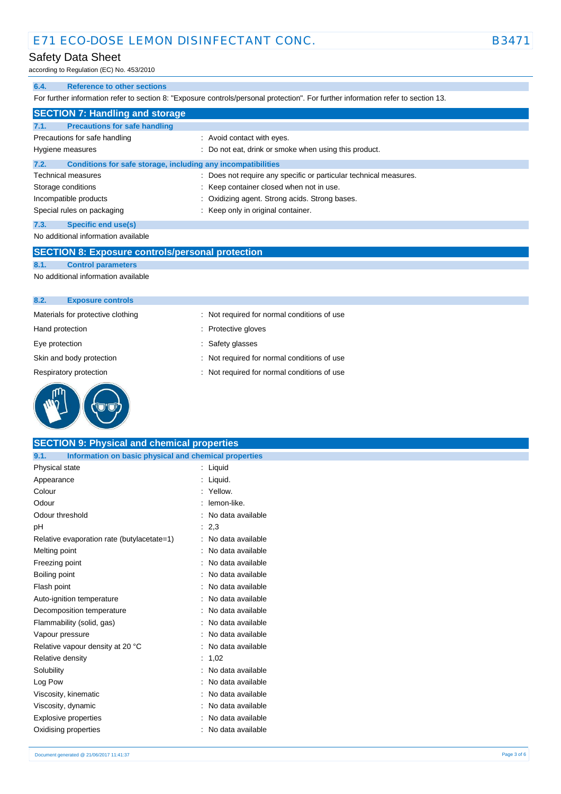### Safety Data Sheet

according to Regulation (EC) No. 453/2010

### **6.4. Reference to other sections**

For further information refer to section 8: "Exposure controls/personal protection". For further information refer to section 13.

|      | <b>SECTION 7: Handling and storage</b>                       |                                                                   |
|------|--------------------------------------------------------------|-------------------------------------------------------------------|
| 7.1. | <b>Precautions for safe handling</b>                         |                                                                   |
|      | Precautions for safe handling                                | : Avoid contact with eyes.                                        |
|      | Hygiene measures                                             | : Do not eat, drink or smoke when using this product.             |
| 7.2. | Conditions for safe storage, including any incompatibilities |                                                                   |
|      | <b>Technical measures</b>                                    | : Does not require any specific or particular technical measures. |
|      | Storage conditions                                           | : Keep container closed when not in use.                          |
|      | Incompatible products                                        | : Oxidizing agent. Strong acids. Strong bases.                    |
|      | Special rules on packaging                                   | : Keep only in original container.                                |
| 7.3. | <b>Specific end use(s)</b>                                   |                                                                   |
|      | No additional information available                          |                                                                   |

### **SECTION 8: Exposure controls/personal protection**

**8.1. Control parameters**

No additional information available

| <b>Exposure controls</b><br>8.2.  |                                             |  |
|-----------------------------------|---------------------------------------------|--|
| Materials for protective clothing | : Not required for normal conditions of use |  |
| Hand protection                   | : Protective gloves                         |  |
| Eye protection                    | : Safety glasses                            |  |
| Skin and body protection          | : Not required for normal conditions of use |  |
| Respiratory protection            | : Not required for normal conditions of use |  |
|                                   |                                             |  |



| <b>SECTION 9: Physical and chemical properties</b>            |                     |
|---------------------------------------------------------------|---------------------|
| Information on basic physical and chemical properties<br>9.1. |                     |
| Physical state                                                | : Liquid            |
| Appearance                                                    | : Liquid.           |
| Colour                                                        | : Yellow.           |
| Odour                                                         | : lemon-like.       |
| Odour threshold                                               | : No data available |
| рH                                                            | : 2,3               |
| Relative evaporation rate (butylacetate=1)                    | : No data available |
| Melting point                                                 | : No data available |
| Freezing point                                                | No data available   |
| Boiling point                                                 | : No data available |
| Flash point                                                   | No data available   |
| Auto-ignition temperature                                     | : No data available |
| Decomposition temperature                                     | : No data available |
| Flammability (solid, gas)                                     | : No data available |
| Vapour pressure                                               | No data available   |
| Relative vapour density at 20 °C                              | No data available   |
| Relative density                                              | : 1,02              |
| Solubility                                                    | : No data available |
| Log Pow                                                       | No data available   |
| Viscosity, kinematic                                          | No data available   |
| Viscosity, dynamic                                            | No data available   |
| <b>Explosive properties</b>                                   | : No data available |
| Oxidising properties                                          | : No data available |
|                                                               |                     |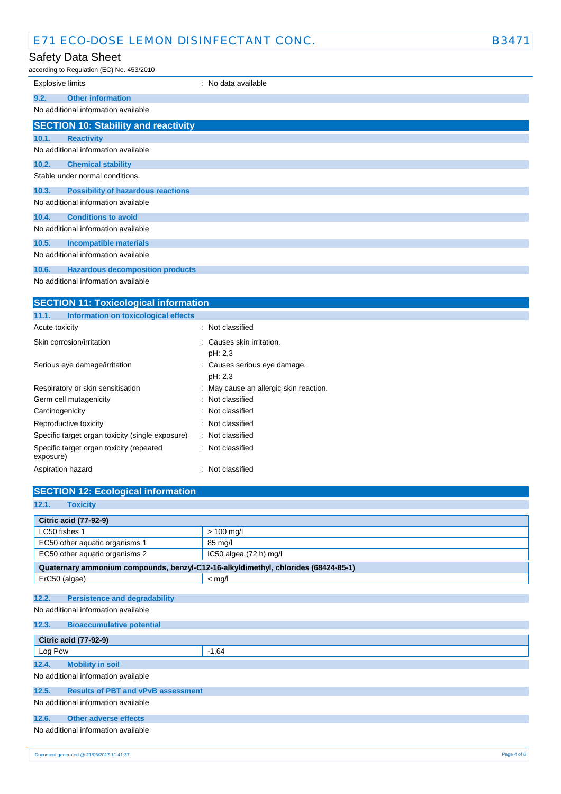## Safety Data Sheet

 $ACO$  No. 453/2010

| <b>Explosive limits</b>                            | : No data available |
|----------------------------------------------------|---------------------|
|                                                    |                     |
| <b>Other information</b><br>9.2.                   |                     |
| No additional information available                |                     |
| <b>SECTION 10: Stability and reactivity</b>        |                     |
| 10.1.<br><b>Reactivity</b>                         |                     |
| No additional information available                |                     |
| 10.2.<br><b>Chemical stability</b>                 |                     |
| Stable under normal conditions.                    |                     |
| <b>Possibility of hazardous reactions</b><br>10.3. |                     |
| No additional information available                |                     |
| <b>Conditions to avoid</b><br>10.4.                |                     |
| No additional information available                |                     |
| 10.5.<br><b>Incompatible materials</b>             |                     |
| No additional information available                |                     |
| <b>Hazardous decomposition products</b><br>10.6.   |                     |

No additional information available

| <b>SECTION 11: Toxicological information</b>          |                                         |  |  |
|-------------------------------------------------------|-----------------------------------------|--|--|
| Information on toxicological effects<br>11.1.         |                                         |  |  |
| Acute toxicity                                        | : Not classified                        |  |  |
| Skin corrosion/irritation                             | : Causes skin irritation.<br>pH: 2,3    |  |  |
| Serious eye damage/irritation                         | : Causes serious eye damage.<br>pH: 2,3 |  |  |
| Respiratory or skin sensitisation                     | : May cause an allergic skin reaction.  |  |  |
| Germ cell mutagenicity                                | : Not classified                        |  |  |
| Carcinogenicity                                       | : Not classified                        |  |  |
| Reproductive toxicity                                 | : Not classified                        |  |  |
| Specific target organ toxicity (single exposure)      | : Not classified                        |  |  |
| Specific target organ toxicity (repeated<br>exposure) | : Not classified                        |  |  |
| Aspiration hazard                                     | : Not classified                        |  |  |

| <b>SECTION 12: Ecological information</b>                                            |                        |  |
|--------------------------------------------------------------------------------------|------------------------|--|
| 12.1.<br><b>Toxicity</b>                                                             |                        |  |
| <b>Citric acid (77-92-9)</b>                                                         |                        |  |
| LC50 fishes 1                                                                        | $> 100$ mg/l           |  |
| EC50 other aquatic organisms 1                                                       | 85 mg/l                |  |
| EC50 other aquatic organisms 2                                                       | IC50 algea (72 h) mg/l |  |
| Quaternary ammonium compounds, benzyl-C12-16-alkyldimethyl, chlorides (68424-85-1)   |                        |  |
| ErC50 (algae)                                                                        | $<$ mg/l               |  |
| 12.2.<br><b>Persistence and degradability</b><br>No additional information available |                        |  |
| 12.3.<br><b>Bioaccumulative potential</b>                                            |                        |  |
| <b>Citric acid (77-92-9)</b>                                                         |                        |  |
| Log Pow                                                                              | $-1.64$                |  |
| 12.4.<br><b>Mobility in soil</b>                                                     |                        |  |
| No additional information available                                                  |                        |  |
| 12.5.<br><b>Results of PBT and vPvB assessment</b>                                   |                        |  |
| No additional information available                                                  |                        |  |
| Other adverse effects<br>12.6.                                                       |                        |  |
| No additional information available                                                  |                        |  |
| Document generated @ 21/06/2017 11:41:37                                             | Page 4 of 6            |  |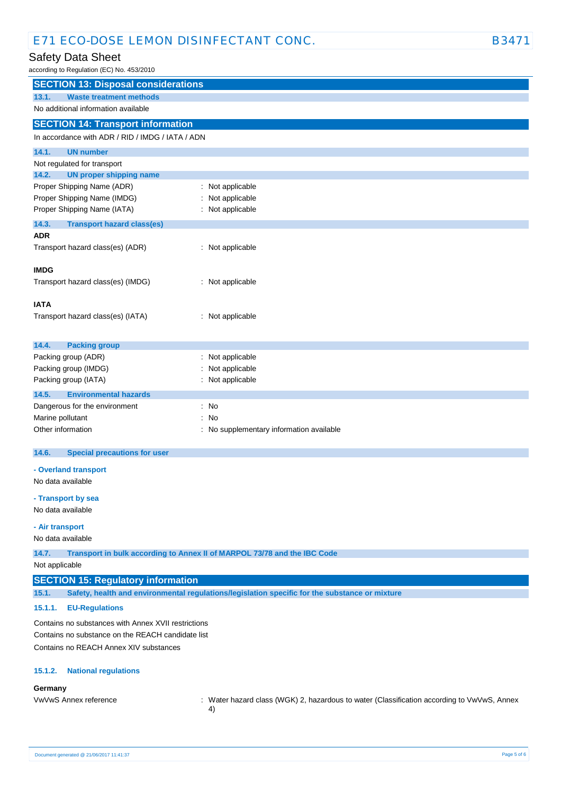## Safety Data Sheet

according to Regulation (EC) No. 453/2010

| according to Regulation (LO) No. 403/2010           |                                                                                                  |  |
|-----------------------------------------------------|--------------------------------------------------------------------------------------------------|--|
| <b>SECTION 13: Disposal considerations</b>          |                                                                                                  |  |
| 13.1.<br><b>Waste treatment methods</b>             |                                                                                                  |  |
| No additional information available                 |                                                                                                  |  |
| <b>SECTION 14: Transport information</b>            |                                                                                                  |  |
| In accordance with ADR / RID / IMDG / IATA / ADN    |                                                                                                  |  |
| 14.1.<br><b>UN number</b>                           |                                                                                                  |  |
| Not regulated for transport                         |                                                                                                  |  |
| 14.2.<br><b>UN proper shipping name</b>             |                                                                                                  |  |
| Proper Shipping Name (ADR)                          | : Not applicable                                                                                 |  |
| Proper Shipping Name (IMDG)                         | Not applicable                                                                                   |  |
| Proper Shipping Name (IATA)                         | : Not applicable                                                                                 |  |
| 14.3.<br><b>Transport hazard class(es)</b>          |                                                                                                  |  |
| <b>ADR</b>                                          |                                                                                                  |  |
| Transport hazard class(es) (ADR)                    | : Not applicable                                                                                 |  |
| <b>IMDG</b>                                         |                                                                                                  |  |
| Transport hazard class(es) (IMDG)                   | : Not applicable                                                                                 |  |
|                                                     |                                                                                                  |  |
| <b>IATA</b>                                         |                                                                                                  |  |
| Transport hazard class(es) (IATA)                   | : Not applicable                                                                                 |  |
|                                                     |                                                                                                  |  |
| 14.4.<br><b>Packing group</b>                       |                                                                                                  |  |
| Packing group (ADR)                                 | : Not applicable                                                                                 |  |
| Packing group (IMDG)                                | Not applicable                                                                                   |  |
| Packing group (IATA)                                | : Not applicable                                                                                 |  |
| 14.5.<br><b>Environmental hazards</b>               |                                                                                                  |  |
| Dangerous for the environment                       | : No                                                                                             |  |
| Marine pollutant                                    | : No                                                                                             |  |
| Other information                                   | : No supplementary information available                                                         |  |
| 14.6.<br><b>Special precautions for user</b>        |                                                                                                  |  |
|                                                     |                                                                                                  |  |
| - Overland transport                                |                                                                                                  |  |
| No data available                                   |                                                                                                  |  |
| - Transport by sea                                  |                                                                                                  |  |
| No data available                                   |                                                                                                  |  |
| - Air transport                                     |                                                                                                  |  |
| No data available                                   |                                                                                                  |  |
| 14.7.                                               | Transport in bulk according to Annex II of MARPOL 73/78 and the IBC Code                         |  |
| Not applicable                                      |                                                                                                  |  |
| <b>SECTION 15: Regulatory information</b>           |                                                                                                  |  |
| 15.1.                                               | Safety, health and environmental regulations/legislation specific for the substance or mixture   |  |
| 15.1.1.<br><b>EU-Regulations</b>                    |                                                                                                  |  |
| Contains no substances with Annex XVII restrictions |                                                                                                  |  |
| Contains no substance on the REACH candidate list   |                                                                                                  |  |
| Contains no REACH Annex XIV substances              |                                                                                                  |  |
| <b>National regulations</b><br>15.1.2.              |                                                                                                  |  |
| Germany                                             |                                                                                                  |  |
| VwVwS Annex reference                               | : Water hazard class (WGK) 2, hazardous to water (Classification according to VwVwS, Annex<br>4) |  |